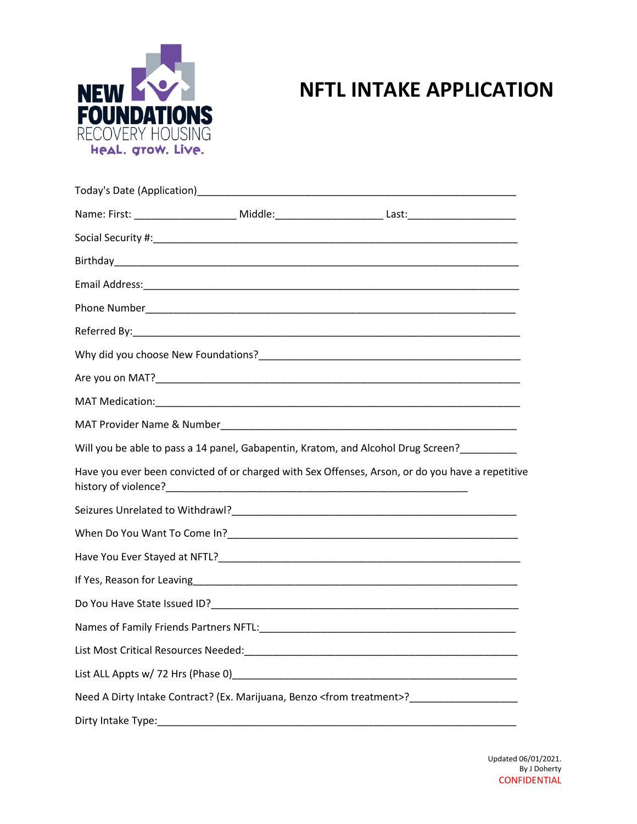

## **NFTL INTAKE APPLICATION**

|                    | Name: First: _______________________ Middle:_______________________Last:___________________________ |
|--------------------|-----------------------------------------------------------------------------------------------------|
|                    |                                                                                                     |
|                    |                                                                                                     |
|                    |                                                                                                     |
|                    |                                                                                                     |
|                    |                                                                                                     |
|                    |                                                                                                     |
|                    |                                                                                                     |
|                    |                                                                                                     |
|                    |                                                                                                     |
|                    | Will you be able to pass a 14 panel, Gabapentin, Kratom, and Alcohol Drug Screen?_______            |
|                    | Have you ever been convicted of or charged with Sex Offenses, Arson, or do you have a repetitive    |
|                    |                                                                                                     |
|                    |                                                                                                     |
|                    |                                                                                                     |
|                    |                                                                                                     |
|                    |                                                                                                     |
|                    |                                                                                                     |
|                    |                                                                                                     |
|                    |                                                                                                     |
|                    | Need A Dirty Intake Contract? (Ex. Marijuana, Benzo <from treatment="">?__________________</from>   |
| Dirty Intake Type: |                                                                                                     |